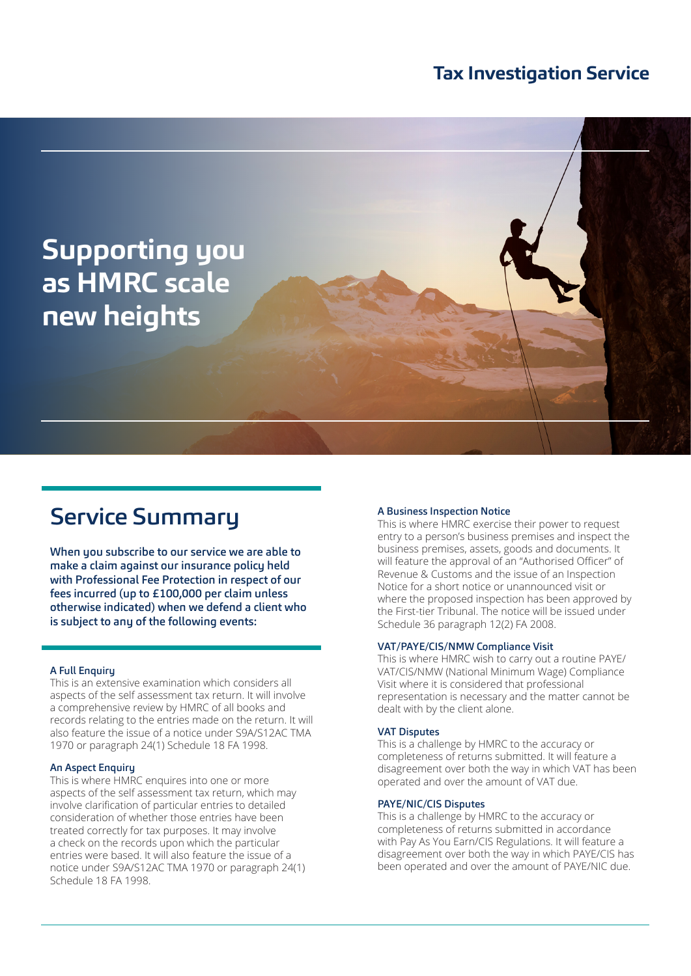## **Tax Investigation Service**



# Service Summary

When you subscribe to our service we are able to make a claim against our insurance policy held with Professional Fee Protection in respect of our fees incurred (up to £100,000 per claim unless otherwise indicated) when we defend a client who is subject to any of the following events:

#### A Full Enquiry

This is an extensive examination which considers all aspects of the self assessment tax return. It will involve a comprehensive review by HMRC of all books and records relating to the entries made on the return. It will also feature the issue of a notice under S9A/S12AC TMA 1970 or paragraph 24(1) Schedule 18 FA 1998.

#### An Aspect Enquiry

This is where HMRC enquires into one or more aspects of the self assessment tax return, which may involve clarification of particular entries to detailed consideration of whether those entries have been treated correctly for tax purposes. It may involve a check on the records upon which the particular entries were based. It will also feature the issue of a notice under S9A/S12AC TMA 1970 or paragraph 24(1) Schedule 18 FA 1998.

#### A Business Inspection Notice

This is where HMRC exercise their power to request entry to a person's business premises and inspect the business premises, assets, goods and documents. It will feature the approval of an "Authorised Officer" of Revenue & Customs and the issue of an Inspection Notice for a short notice or unannounced visit or where the proposed inspection has been approved by the First-tier Tribunal. The notice will be issued under Schedule 36 paragraph 12(2) FA 2008.

#### VAT/PAYE/CIS/NMW Compliance Visit

This is where HMRC wish to carry out a routine PAYE/ VAT/CIS/NMW (National Minimum Wage) Compliance Visit where it is considered that professional representation is necessary and the matter cannot be dealt with by the client alone.

#### VAT Disputes

This is a challenge by HMRC to the accuracy or completeness of returns submitted. It will feature a disagreement over both the way in which VAT has been operated and over the amount of VAT due.

#### PAYE/NIC/CIS Disputes

This is a challenge by HMRC to the accuracy or completeness of returns submitted in accordance with Pay As You Earn/CIS Regulations. It will feature a disagreement over both the way in which PAYE/CIS has been operated and over the amount of PAYE/NIC due.